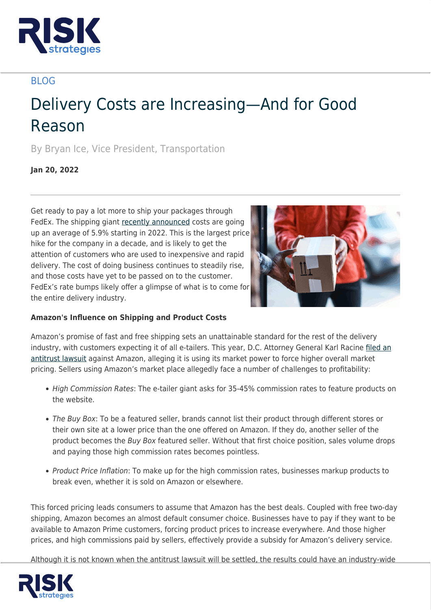

## BLOG

# Delivery Costs are Increasing—And for Good Reason

By Bryan Ice, Vice President, Transportation

**Jan 20, 2022**

Get ready to pay a lot more to ship your packages through FedEx. The shipping giant [recently announced](https://www.cnn.com/2021/09/20/business/fedex-shipping-price-increase/index.html) costs are going up an average of 5.9% starting in 2022. This is the largest price hike for the company in a decade, and is likely to get the attention of customers who are used to inexpensive and rapid delivery. The cost of doing business continues to steadily rise, and those costs have yet to be passed on to the customer. FedEx's rate bumps likely offer a glimpse of what is to come for the entire delivery industry.



### **Amazon's Influence on Shipping and Product Costs**

Amazon's promise of fast and free shipping sets an unattainable standard for the rest of the delivery industry, with customers expecting it of all e-tailers. This year, D.C. Attorney General Karl Racine [filed an](https://mattstoller.substack.com/p/amazon-primes-free-shipping-promise) [antitrust lawsuit](https://mattstoller.substack.com/p/amazon-primes-free-shipping-promise) against Amazon, alleging it is using its market power to force higher overall market pricing. Sellers using Amazon's market place allegedly face a number of challenges to profitability:

- High Commission Rates: The e-tailer giant asks for 35-45% commission rates to feature products on the website.
- The Buy Box: To be a featured seller, brands cannot list their product through different stores or their own site at a lower price than the one offered on Amazon. If they do, another seller of the product becomes the Buy Box featured seller. Without that first choice position, sales volume drops and paying those high commission rates becomes pointless.
- Product Price Inflation: To make up for the high commission rates, businesses markup products to break even, whether it is sold on Amazon or elsewhere.

This forced pricing leads consumers to assume that Amazon has the best deals. Coupled with free two-day shipping, Amazon becomes an almost default consumer choice. Businesses have to pay if they want to be available to Amazon Prime customers, forcing product prices to increase everywhere. And those higher prices, and high commissions paid by sellers, effectively provide a subsidy for Amazon's delivery service.

Although it is not known when the antitrust lawsuit will be settled, the results could have an industry-wide